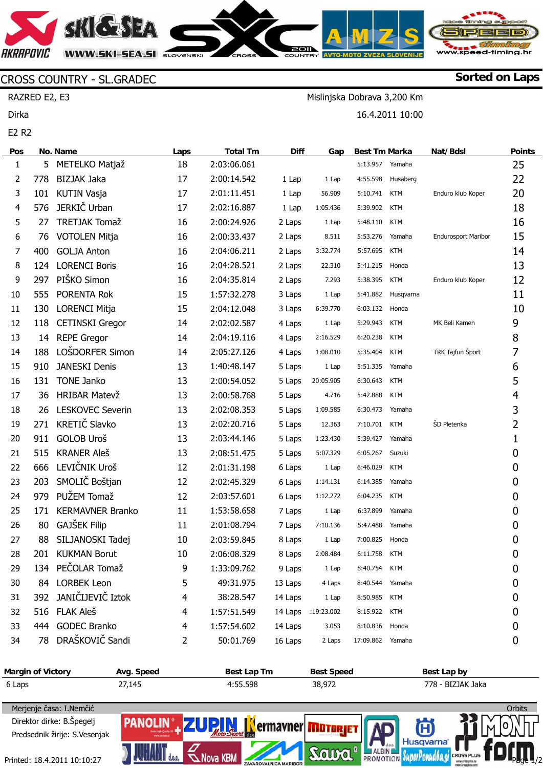## **VISHGSEA** *AKRAPNVIĪ.* **WWW.SKI-SEA.SI** SLOVENSKI speed-timing

Mislinjska Dobrava 3,200 Km

16.4.2011 10:00

## CROSS COUNTRY - SL.GRADEC

RAZRED E2, E3

Dirka

E2 R2

**Pos** 1 2 3 4 5 6 7 8 9 10 11 12 13 14 15 16 17 18 19 20 21  $22$ 23 24 25 26 27 28 29 30 31 32 33 34 **No. Name** 5 778 101 576 27 76 400 124 297 555 130 118 14 188 910 131 36 26 271 911 515 666 203 979 171 80 88 201 134 84 392 516 444 78 METELKO Matjaž BIZJAK Jaka KUTIN Vasja JERKIČ Urban TRETJAK Tomaž VOTOLEN Mitja GOLJA Anton LORENCI Boris PIŠKO Simon PORENTA Rok LORENCI Mitja CETINSKI Gregor REPE Gregor LOŠDORFER Simon JANESKI Denis TONE Janko HRIBAR Matevž LESKOVEC Severin KRETIČ Slavko GOLOB Uroš KRANER Aleš LEVIČNIK Uroš SMOLIČ Boštjan PUŽEM Tomaž KERMAVNER Branko GAJŠEK Filip SILJANOSKI Tadej KUKMAN Borut PEČOLAR Tomaž LORBEK Leon JANIČIJEVIČ Iztok FLAK Aleš GODEC Branko DRAŠKOVIČ Sandi **Laps** 18 17 17 17 16 16 16 16 16 15 15 14 14 14 13 13 13 13 13 13 13 12 12 12 11 11 10 10 9 5 4 4 4 2 **Total Tm** 2:03:06.061 2:00:14.542 2:01:11.451 2:02:16.887 2:00:24.926 2:00:33.437 2:04:06.211 2:04:28.521 2:04:35.814 1:57:32.278 2:04:12.048 2:02:02.587 2:04:19.116 2:05:27.126 1:40:48.147 2:00:54.052 2:00:58.768 2:02:08.353 2:02:20.716 2:03:44.146 2:08:51.475 2:01:31.198 2:02:45.329 2:03:57.601 1:53:58.658 2:01:08.794 2:03:59.845 2:06:08.329 1:33:09.762 49:31.975 38:28.547 1:57:51.549 1:57:54.602 50:01.769 **Diff** 1 Lap 1 Lap 1 Lap 2 Laps 2 Laps 2 Laps 2 Laps 2 Laps 3 Laps 3 Laps 4 Laps 4 Laps 4 Laps 5 Laps 5 Laps 5 Laps 5 Laps 5 Laps 5 Laps 5 Laps 6 Laps 6 Laps 6 Laps 7 Laps 7 Laps 8 Laps 8 Laps 9 Laps 13 Laps 14 Laps 14 Laps 14 Laps 16 Laps **Gap** 1 Lap 56.909 1:05.436 1 Lap 8.511 3:32.774 22.310 7.293 1 Lap 6:39.770 1 Lap 2:16.529 1:08.010 1 Lap 20:05.905 4.716 1:09.585 12.363 1:23.430 5:07.329 1 Lap 1:14.131 1:12.272 1 Lap 7:10.136 1 Lap 2:08.484 1 Lap 4 Laps 1 Lap 1:19:23.002 3.053 2 Laps **Best Tm Marka** 5:13.957 4:55.598 5:10.741 5:39.902 5:48.110 5:53.276 5:57.695 5:41.215 5:38.395 5:41.882 6:03.132 5:29.943 6:20.238 5:35.404 5:51.335 6:30.643 5:42.888 6:30.473 7:10.701 5:39.427 6:05.267 6:46.029 6:14.385 6:04.235 6:37.899 5:47.488 7:00.825 6:11.758 8:40.754 8:40.544 8:50.985 8:15.922 8:10.836 17:09.862 Yamaha Husaberg KTM **KTM KTM** Yamaha KTM Honda **KTM** Husqvarna **Honda** KTM **KTM KTM** Yamaha **KTM** KTM Yamaha KTM Yamaha Suzuki **KTM** Yamaha KTM Yamaha Yamaha Honda **KTM KTM** Yamaha **KTM KTM** Honda Yamaha **Nat/Bdsl** Enduro klub Koper Endurosport Maribor Enduro klub Koper MK Beli Kamen TRK Tajfun Šport ŠD Pletenka **Points** 25 22 20 18 16 15 14 13 12 11 10 9 8 7 6 5 4 3 2 1 0  $\theta$  $\theta$  $\theta$ 0  $\Omega$ 0 0  $\Omega$ 0  $\Omega$  $\Omega$  $\overline{0}$  $\Omega$ 



**Sorted on Laps**

Page 1/2